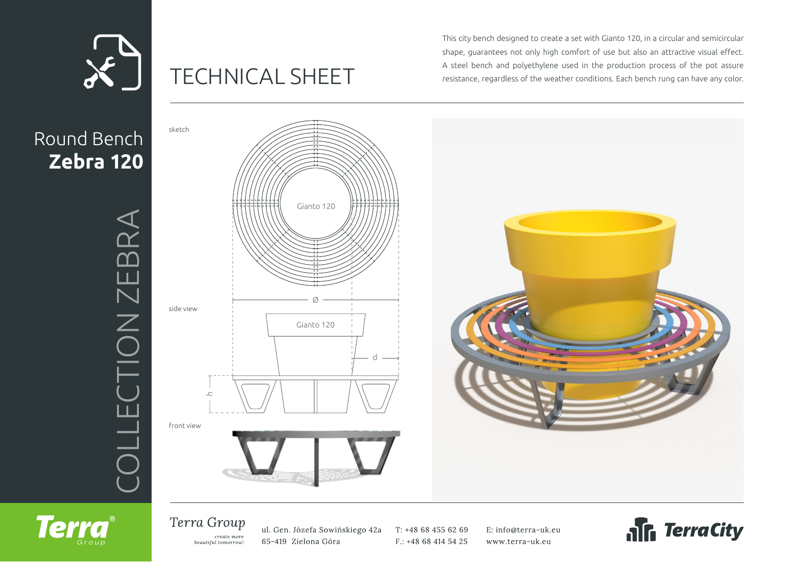

# TECHNICAL SHEET

This city bench designed to create a set with Gianto 120, in a circular and semicircular shape, guarantees not only high comfort of use but also an attractive visual effect. A steel bench and polyethylene used in the production process of the pot assure resistance, regardless of the weather conditions. Each bench rung can have any color.



### Terra Group

**Terra** 

create more beautiful tomorrow! ul. Gen. Józefa Sowińskiego 42a 65-419 Zielona Góra

T: +48 68 455 62 69 F.: +48 68 414 54 25 E: info@terra-uk.eu www.terra-uk.eu